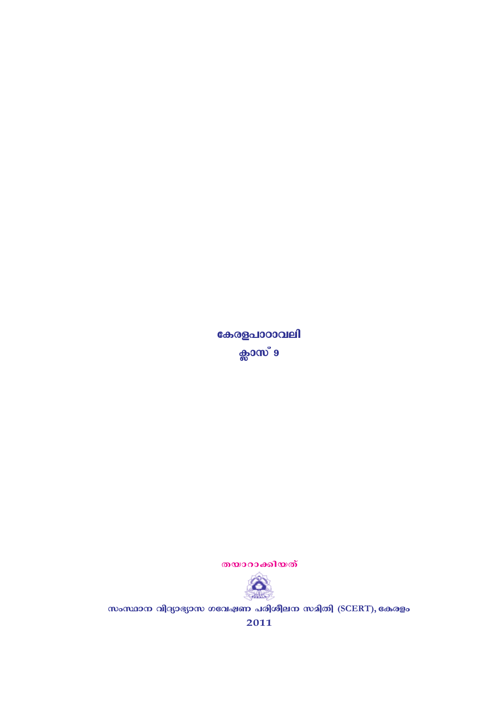സംസ്ഥാന വിദ്യാഭ്യാസ ഗവേഷണ പരിശീലന സമിതി (SCERT), കേരളം



2011

കേരളപാഠാവലി ക്ലാസ് 9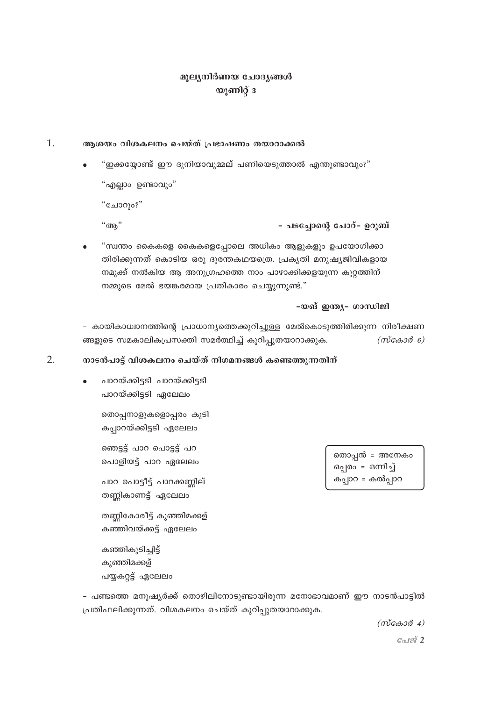## മൂല്യനിർണയ ചോദ്യങ്ങൾ യൂണിറ്റ് 3

#### $\mathbf{1}$ . ആശയം വിശകലനം ചെയ്ത് പ്രഭാഷണം തയാറാക്കൽ

"ഇക്കയ്യോണ്ട് ഈ ദുനിയാവുമ്മല് പണിയെടുത്താൽ എന്തുണ്ടാവും?"

"എല്ലാം ഉണ്ടാവും"

"ചോറും?"

 $"$ അ $"$ 

- പടച്ചോന്റെ ചോറ്- ഉറുബ്

"സ്വന്തം കൈകളെ കൈകളെപ്പോലെ അധികം ആളുകളും ഉപയോഗിക്കാ തിരിക്കുന്നത് കൊടിയ ഒരു ദുരന്തകഥയത്രെ. പ്രകൃതി മനുഷ്യജിവികളായ നമുക്ക് നൽകിയ ആ അനുഗ്രഹത്തെ നാം പാഴാക്കിക്കളയുന്ന കുറ്റത്തിന് നമ്മുടെ മേൽ ഭയങ്കരമായ പ്രതികാരം ചെയ്യുന്നുണ്ട്."

### -യങ് ഇന്ത്യ- ഗാന്ധിജി

- കായികാധ്വാനത്തിന്റെ പ്രാധാന്യത്തെക്കുറിച്ചുള്ള മേൽകൊടുത്തിരിക്കുന്ന നിരീക്ഷണ ങ്ങളുടെ സമകാലികപ്രസക്തി സമർത്ഥിച്ച് കുറിപ്പുതയാറാക്കുക.  $(m \cos \theta)$ 

#### $2.$ നാടൻപാട്ട് വിശകലനം ചെയ്ത് നിഗമനങ്ങൾ കണ്ടെത്തുന്നതിന്

പാറയ്ക്കിട്ടടി പാറയ്ക്കിട്ടടി പാറയ്ക്കിട്ടടി ഏലേലം

> തൊപ്പനാളുകളൊപ്പരം കൂടി കപ്പാറയ്ക്കിട്ടടി ഏലേലം

ഞെട്ട് പാറ പൊട്ട് പറ പൊളിയട്ട് പാറ ഏലേലം

പാറ പൊട്ടീട്ട് പാറക്കണ്ണില് തണ്ണികാണട്ട് ഏലേലം

തണ്ണികോരീട്ട് കുഞ്ഞിമക്കള് കഞ്ഞിവയ്ക്കട്ട് ഏലേലം

കഞ്ഞികൂടിച്ചിട്ട് കുഞ്ഞിമക്കള് പയ്യകറ്റട്ട് ഏലേലം

- പണ്ടത്തെ മനുഷ്യർക്ക് തൊഴിലിനോടുണ്ടായിരുന്ന മനോഭാവമാണ് ഈ നാടൻപാട്ടിൽ പ്രതിഫലിക്കുന്നത്. വിശകലനം ചെയ്ത് കുറിപ്പുതയാറാക്കുക.

 $(m \cos \theta 4)$ 

തൊപ്പൻ = അനേകം ഒപ്പരം = ഒന്നിച്ച് കപ്പാറ = കൽപ്പാറ

ே $a$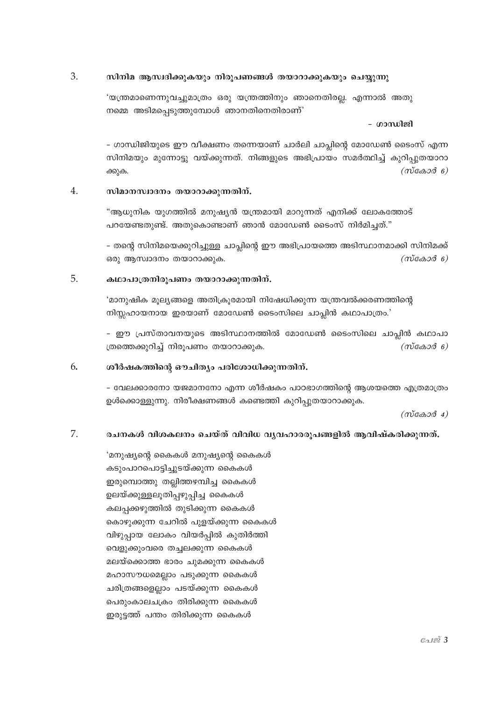#### 3. സിനിമ ആസ്വദിക്കുകയും നിരൂപണങ്ങൾ തയാറാക്കുകയും ചെയ്യുന്നു

'യന്ത്രമാണെന്നുവച്ചുമാത്രം ഒരു യന്ത്രത്തിനും ഞാനെതിരല്ല. എന്നാൽ അതു നമ്മെ അടിമപ്പെടുത്തുമ്പോൾ ഞാനതിനെതിരാണ്'

### - ഗാന്ധിജി

- ഗാന്ധിജിയുടെ ഈ വീക്ഷണം തന്നെയാണ് ചാർലി ചാപ്ലിന്റെ മോഡേൺ ടൈംസ് എന്ന സിനിമയും മുന്നോട്ടു വയ്ക്കുന്നത്. നിങ്ങളുടെ അഭിപ്രായം സമർത്ഥിച്ച് കുറിപ്പുതയാറാ  $(m \cos \theta)$ ക്കുക.

#### $4.$ സിമാനസ്വാദനം തയാറാക്കുന്നതിന്.

"ആധുനിക യുഗത്തിൽ മനുഷ്യൻ യന്ത്രമായി മാറുന്നത് എനിക്ക് ലോകത്തോട് പറയേണ്ടതുണ്ട്. അതുകൊണ്ടാണ് ഞാൻ മോഡേൺ ടൈംസ് നിർമിച്ചത്."

– തന്റെ സിനിമയെക്കുറിച്ചുള്ള ചാപ്ലിന്റെ ഈ അഭിപ്രായത്തെ അടിസ്ഥാനമാക്കി സിനിമക്ക് ഒരു ആസ്ഥാദനം തയാറാക്കുക.  $(m \cos \theta)$ 

#### 5. കഥാപാത്രനിരുപണം തയാറാക്കുന്നതിന്.

'മാനുഷിക മൂല്യങ്ങളെ അതിക്രൂരമായി നിഷേധിക്കുന്ന യന്ത്രവൽക്കരണത്തിന്റെ നിസ്സഹായനായ ഇരയാണ് മോഡേൺ ടൈംസിലെ ചാപ്ലിൻ കഥാപാത്രം.'

– ഈ പ്രസ്താവനയുടെ അടിസ്ഥാനത്തിൽ മോഡേൺ ടൈംസിലെ ചാപ്പിൻ കഥാപാ ത്രത്തെക്കുറിച്ച് നിരൂപണം തയാറാക്കുക.  $(m \cos \theta)$ 

#### ശീർഷകത്തിന്റെ ഔചിത്യം പരിശോധിക്കുന്നതിന്. 6.

- വേലക്കാരനോ യജമാനനോ എന്ന ശീർഷകം പാഠഭാഗത്തിന്റെ ആശയത്തെ എത്രമാത്രം ഉൾക്കൊള്ളുന്നു. നിരീക്ഷണങ്ങൾ കണ്ടെത്തി കുറിപ്പുതയാറാക്കുക.

 $(m\tilde{\cos}\omega\tilde{\cos}4)$ 

#### 7. രചനകൾ വിശകലനം ചെയ്ത് വിവിധ വ്യവഹാരരൂപങ്ങളിൽ ആവിഷ്കരിക്കുന്നത്.

'മനുഷ്യന്റെ കൈകൾ മനുഷ്യന്റെ കൈകൾ കടുംപാറപൊട്ടിച്ചുടയ്ക്കുന്ന കൈകൾ ഇരുമ്പൊത്തു തല്ലിത്തഴമ്പിച്ച കൈകൾ ഉലയ്ക്കുള്ളലൂതിപ്പഴുപ്പിച്ച കൈകൾ കലപ്പക്കഴുത്തിൽ തുടിക്കുന്ന കൈകൾ കൊഴുക്കുന്ന ചേറിൽ പുളയ്ക്കുന്ന കൈകൾ വിഴുപായ ലോകം വിയർപ്പിൽ കുതിർത്തി വെളുക്കുംവരെ തച്ചലക്കുന്ന കൈകൾ മലയ്ക്കൊത്ത ഭാരം ചുമക്കുന്ന കൈകൾ മഹാസൗധമെല്ലാം പടുക്കുന്ന കൈകൾ ചരിത്രങ്ങളെല്ലാം പടയ്ക്കുന്ന കൈകൾ പെരുംകാലചക്രം തിരിക്കുന്ന കൈകൾ ഇരുട്ടത്ത് പന്തം തിരിക്കുന്ന കൈകൾ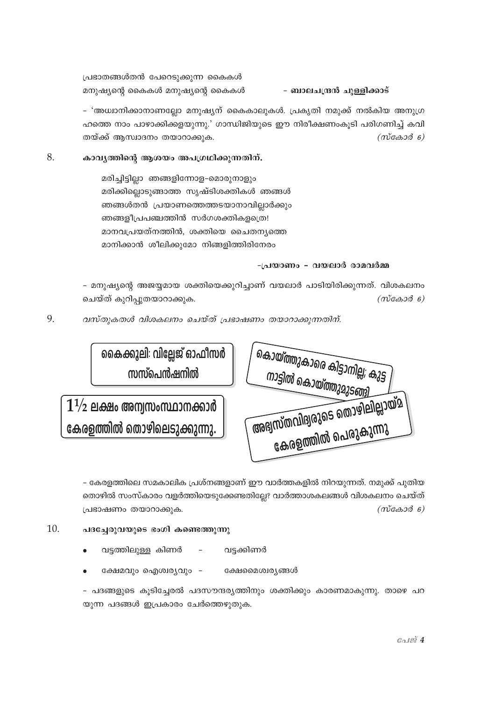പ്രഭാതങ്ങൾതൻ പേറെടുക്കുന്ന കൈകൾ മനുഷ്യന്റെ കൈകൾ മനുഷ്യന്റെ കൈകൾ

- ബാലചന്ദ്രൻ ചുള്ളിക്കാട്

– 'അധ്വാനിക്കാനാണല്ലോ മനുഷ്യന് കൈകാലുകൾ. പ്രകൃതി നമുക്ക് നൽകിയ അനുഗ്ര ഹത്തെ നാം പാഴാക്കിക്കളയുന്നു.' ഗാന്ധിജിയുടെ ഈ നിരീക്ഷണംകൂടി പരിഗണിച്ച് കവി തയ്ക്ക് ആസ്വാദനം തയാറാക്കുക.  $(m \cos \theta)$ 

#### 8. കാവൃത്തിന്റെ ആശയം അപഗ്രഥിക്കുന്നതിന്.

മരിച്ചിട്ടില്ലാ ഞങ്ങളിന്നോള-മൊരുനാളും മരിക്കില്ലൊടുങ്ങാത്ത സൃഷ്ടിശക്തികൾ ഞങ്ങൾ ഞങ്ങൾതൻ പ്രയാണത്തെത്തടയാനാവില്ലാർക്കും ഞങ്ങളീപ്രപഞ്ചത്തിൻ സർഗശക്തികളത്രെ! മാനവപ്രയത്നത്തിൻ, ശക്തിയെ ചൈതനൃത്തെ മാനിക്കാൻ ശീലിക്കുമോ നിങ്ങളിത്തിരിനേരം

### -പ്രയാണം - വയലാർ രാമവർമ്മ

- മനുഷ്യന്റെ അജയ്യമായ ശക്തിയെക്കുറിച്ചാണ് വയലാർ പാടിയിരിക്കുന്നത്. വിശകലനം ചെയ്ത് കുറിപ്പുതയാറാക്കുക.  $(m \cos \theta)$ 

9. വസ്തുകതൾ വിശകലനം ചെയ്ത് പ്രഭാഷണം തയാറാക്കുന്നതിന്.

| കൈക്കുലി: വില്ലേജ് ഓഫീസർ<br>സസ്പെൻഷനിൽ | കൊയ്ത്തുകാരെ കിട്ടാനില്ല; കുട്ട <i> </i><br>നാട്ടിൽ കൊയ്ത്തുമുടങ്ങി |
|----------------------------------------|---------------------------------------------------------------------|
| $1/2$ ലക്ഷം അന്വസംസ്ഥാനക്കാർ           | <sup>(</sup> അഭ്യസ്തവിദ്യരുടെ തൊഴിലില്ലായ്മ )                       |
| കരളത്തിൽ തൊഴിലെടുക്കുന്നു.             | കേരളത്തിൽ പെരുകുന്നു                                                |

- കേരളത്തിലെ സമകാലിക പ്രശ്നങ്ങളാണ് ഈ വാർത്തകളിൽ നിറയുന്നത്. നമുക്ക് പുതിയ തൊഴിൽ സംസ്കാരം വളർത്തിയെടുക്കേണ്ടതില്ലേ? വാർത്താശകലങ്ങൾ വിശകലനം ചെയ്ത് പ്രഭാഷണം തയാറാക്കുക.  $(m \cos \theta)$ 

10.

- പദച്ചേരുവയുടെ ഭംഗി കണ്ടെത്തുന്നു
	- വട്ടത്തിലുള്ള കിണർ വട്ടക്കിണർ  $\equiv$
	- ക്ഷേമവും ഐശ്വര്യവും -ക്ഷേമൈശ്വര്യങ്ങൾ

– പദങ്ങളുടെ കൂടിച്ചേരൽ പദസൗന്ദര്യത്തിനും ശക്തിക്കും കാരണമാകുന്നു. താഴെ പറ യുന്ന പദങ്ങൾ ഇപ്രകാരം ചേർത്തെഴുതുക.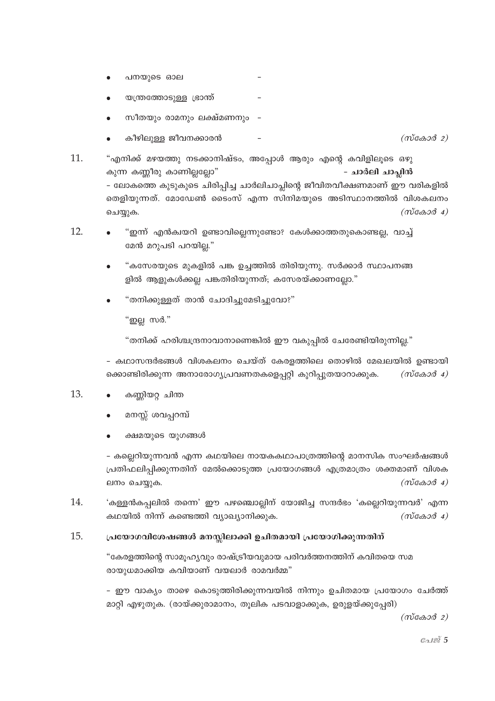- പനയുടെ ഓല
- യന്ത്രത്തോടുള്ള ഭ്രാന്ത്
- സീതയും രാമനും ലക്ഷ്മണനും -
- കീഴിലുള്ള ജീവനക്കാരൻ  $(m \cos \theta 2)$

11. "എനിക്ക് മഴയത്തു നടക്കാനിഷ്ടം, അപ്പോൾ ആരും എന്റെ കവിളിലൂടെ ഒഴു കുന്ന കണ്ണീരു കാണില്ലല്ലോ" - ചാർലി ചാപ്പിൻ - ലോകത്തെ കുടുകുടെ ചിരിപ്പിച്ച ചാർലിചാപ്ലിന്റെ ജീവിതവീക്ഷണമാണ് ഈ വരികളിൽ തെളിയുന്നത്. മോഡേൺ ടൈംസ് എന്ന സിനിമയുടെ അടിസ്ഥാനത്തിൽ വിശകലനം  $(m \cos \theta 4)$ ചെയ്യുക.

- 12. "ഇന്ന് എൻക്വയറി ഉണ്ടാവില്ലെന്നുണ്ടോ? കേൾക്കാത്തതുകൊണ്ടല്ല, വാച്ച് മേൻ മറുപടി പറയില്ല."
	- "കസേരയുടെ മുകളിൽ പങ്ക ഉച്ചത്തിൽ തിരിയുന്നു. സർക്കാർ സ്ഥാപനങ്ങ ളിൽ ആളുകൾക്കല്ല പങ്കതിരിയുന്നത്; കസേരയ്ക്കാണല്ലോ."
	- "തനിക്കുള്ളത് താൻ ചോദിച്ചുമേടിച്ചുവോ?"

"ഇല്ല സർ."

"തനിക്ക് ഹരിശ്ചന്ദ്രനാവാനാണെങ്കിൽ ഈ വകുപ്പിൽ ചേരേണ്ടിയിരുന്നില്ല."

- കഥാസന്ദർഭങ്ങൾ വിശകലനം ചെയ്ത് കേരളത്തിലെ തൊഴിൽ മേഖലയിൽ ഉണ്ടായി ക്കൊണ്ടിരിക്കുന്ന അനാരോഗ്യപ്രവണതകളെപ്പറ്റി കുറിപ്പുതയാറാക്കുക.  $(m \cos \theta 4)$ 

- 13. കണ്ണിയറ്റ ചിന്ത
	- മനസ്സ് ശവപ്പറമ്പ്
	- ക്ഷമയുടെ യുഗങ്ങൾ

- കല്ലെറിയുന്നവൻ എന്ന കഥയിലെ നായകകഥാപാത്രത്തിന്റെ മാനസിക സംഘർഷങ്ങൾ പ്രതിഫലിപ്പിക്കുന്നതിന് മേൽക്കൊടുത്ത പ്രയോഗങ്ങൾ എത്രമാത്രം ശക്തമാണ് വിശക  $(m\alpha\alpha\beta\alpha)$ ലനം ചെയ്യുക.

14. 'കള്ളൻകപ്പലിൽ തന്നെ' ഈ പഴഞ്ചൊല്ലിന് യോജിച്ച സന്ദർഭം 'കല്ലെറിയുന്നവർ' എന്ന കഥയിൽ നിന്ന് കണ്ടെത്തി വ്യാഖ്യാനിക്കുക.  $(m \cos \theta 4)$ 

#### 15. പ്രയോഗവിശേഷങ്ങൾ മനസ്സിലാക്കി ഉചിതമായി പ്രയോഗിക്കുന്നതിന്

"കേരളത്തിന്റെ സാമൂഹ്യവും രാഷ്ട്രീയവുമായ പരിവർത്തനത്തിന് കവിതയെ സമ രായുധമാക്കിയ കവിയാണ് വയലാർ രാമവർമ്മ"

– ഈ വാക്യം താഴെ കൊടുത്തിരിക്കുന്നവയിൽ നിന്നും ഉചിതമായ പ്രയോഗം ചേർത്ത് മാറ്റി എഴുതുക. (രായ്ക്കുരാമാനം, തൂലിക പടവാളാക്കുക, ഉരുളയ്ക്കുപ്പേരി)

 $(m\alpha\alpha\beta\beta)$ 

 $Gol\mathcal{Q}$  5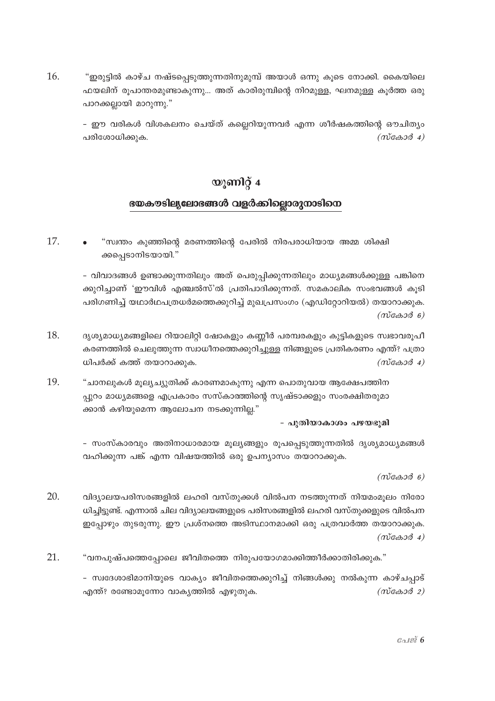16. "ഇരുട്ടിൽ കാഴ്ച നഷ്ടപ്പെടുത്തുന്നതിനുമുമ്പ് അയാൾ ഒന്നു കൂടെ നോക്കി. കൈയിലെ ഫയലിന് രുപാന്തരമുണ്ടാകുന്നു... അത് കാരിരുമ്പിന്റെ നിറമുള്ള, ഘനമുള്ള കുർത്ത ഒരു പാറക്കല്ലായി മാറുന്നു."

– ഈ വരികൾ വിശകലനം ചെയ്ത് കല്ലെറിയുന്നവർ എന്ന ശീർഷകത്തിന്റെ ഔചിത്യം പരിശോധിക്കുക.  $(m \cos \theta 4)$ 

# യുണിറ്റ് 4 ഭയകൗടില്യലോഭങ്ങൾ വളർക്കില്ലൊരുനാടിനെ

17. "സ്വന്തം കുഞ്ഞിന്റെ മരണത്തിന്റെ പേരിൽ നിരപരാധിയായ അമ്മ ശിക്ഷി ക്കപ്പെടാനിടയായി."

> – വിവാദങ്ങൾ ഉണ്ടാക്കുന്നതിലും അത് പെരുപ്പിക്കുന്നതിലും മാധ്യമങ്ങൾക്കുള്ള പങ്കിനെ ക്കുറിച്ചാണ് 'ഈവിൾ എഞ്ചൽസ്'ൽ പ്രതിപാദിക്കുന്നത്. സമകാലിക സംഭവങ്ങൾ കുടി പരിഗണിച്ച് യഥാർഥപത്രധർമത്തെക്കുറിച്ച് മുഖപ്രസംഗം (എഡിറ്റോറിയൽ) തയാറാക്കുക.  $(m$ caso $\delta$  6)

- 18. ദൃശ്യമാധ്യമങ്ങളിലെ റിയാലിറ്റി ഷോകളും കണ്ണീർ പരമ്പരകളും കുട്ടികളുടെ സ്വഭാവരൂപീ കരണത്തിൽ ചെലുത്തുന്ന സ്വാധീനത്തെക്കുറിച്ചുള്ള നിങ്ങളുടെ പ്രതികരണം എന്ത്? പത്രാ ധിപർക്ക് കത്ത് തയാറാക്കുക.  $(m \cos \theta 4)$
- 19. "ചാനലുകൾ മൂല്യച്യുതിക്ക് കാരണമാകുന്നു എന്ന പൊതുവായ ആക്ഷേപത്തിന പ്പുറം മാധ്യമങ്ങളെ എപ്രകാരം സസ്കാത്തിന്റെ സൃഷ്ടാക്കളും സംരക്ഷിതരുമാ ക്കാൻ കഴിയുമെന്ന ആലോചന നടക്കുന്നില്ല."

### - പുതിയാകാശം പഴയഭൂമി

– സംസ്കാരവും അതിനാധാരമായ മുല്യങ്ങളും രുപപ്പെടുത്തുന്നതിൽ ദൃശ്യമാധ്യമങ്ങൾ വഹിക്കുന്ന പങ്ക് എന്ന വിഷയത്തിൽ ഒരു ഉപന്യാസം തയാറാക്കുക.

 $(m \cos \theta)$ 

20. വിദ്യാലയപരിസരങ്ങളിൽ ലഹരി വസ്തുക്കൾ വിൽപന നടത്തുന്നത് നിയമംമൂലം നിരോ ധിച്ചിട്ടുണ്ട്. എന്നാൽ ചില വിദ്യാലയങ്ങളുടെ പരിസരങ്ങളിൽ ലഹരി വസ്തുക്കളുടെ വിൽപന ഇപ്പോഴും തുടരുന്നു. ഈ പ്രശ്നത്തെ അടിസ്ഥാനമാക്കി ഒരു പത്രവാർത്ത തയാറാക്കുക.  $(m \cos \theta 4)$ 

21. "വനപുഷ്പത്തെപ്പോലെ ജീവിതത്തെ നിരുപയോഗമാക്കിത്തീർക്കാതിരിക്കുക."

> - സ്വദേശാഭിമാനിയുടെ വാക്യം ജീവിതത്തെക്കുറിച്ച് നിങ്ങൾക്കു നൽകുന്ന കാഴ്ചപ്പാട്  $(m \cos \theta 2)$ എന്ത്? രണ്ടോമൂന്നോ വാകൃത്തിൽ എഴുതുക.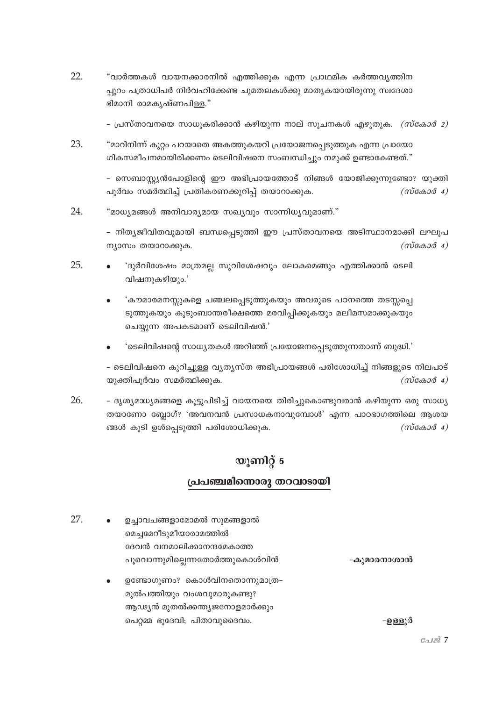22. "വാർത്തകൾ വായനക്കാരനിൽ എത്തിക്കുക എന്ന പ്രാഥമിക കർത്തവൃത്തിന പ്പുറം പത്രാധിപർ നിർവഹിക്കേണ്ട ചുമതലകൾക്കു മാതൃകയായിരുന്നു സ്വദേശാ ഭിമാനി രാമകൃഷ്ണപിള്ള."

– പ്രസ്താവനയെ സാധുകരിക്കാൻ കഴിയുന്ന നാല് സുചനകൾ എഴുതുക. *(സ്കോർ 2)* 

23. "മാറിനിന്ന് കുറ്റം പറയാതെ അകത്തുകയറി പ്രയോജനപ്പെടുത്തുക എന്ന പ്രായോ ഗികസമീപനമായിരിക്കണം ടെലിവിഷനെ സംബന്ധിച്ചും നമുക്ക് ഉണ്ടാകേണ്ടത്."

> - സെബാസ്ക്യൻപോളിന്റെ ഈ അഭിപ്രായത്തോട് നിങ്ങൾ യോജിക്കുന്നുണ്ടോ? യുക്തി പൂർവം സമർത്ഥിച്ച് പ്രതികരണക്കുറിപ്പ് തയാറാക്കുക.  $(m \cos \theta 4)$

24. "മാധ്യമങ്ങൾ അനിവാര്യമായ സഖ്യവും സാന്നിധ്യവുമാണ്."

> - നിത്യജീവിതവുമായി ബന്ധപ്പെടുത്തി ഈ പ്രസ്താവനയെ അടിസ്ഥാനമാക്കി ലഘൂപ ന്യാസം തയാറാക്കുക.  $(m\cos 3\theta_4)$

- 25. 'ദുർവിശേഷം മാത്രമല്ല സുവിശേഷവും ലോകമെങ്ങും എത്തിക്കാൻ ടെലി വിഷനുകഴിയും.'
	- 'കൗമാരമനസ്സുകളെ ചഞ്ചലപ്പെടുത്തുകയും അവരുടെ പഠനത്തെ തടസ്സപ്പെ ടുത്തുകയും കൂടുംബാന്തരീക്ഷത്തെ മരവിപ്പിക്കുകയും മലീമസമാക്കുകയും ചെയ്യുന്ന അപകടമാണ് ടെലിവിഷൻ.'
	- 'ടെലിവിഷന്റെ സാധ്യതകൾ അറിഞ്ഞ് പ്രയോജനപ്പെടുത്തുന്നതാണ് ബുദ്ധി.'

- ടെലിവിഷനെ കുറിച്ചുള്ള വൃത്യസ്ത അഭിപ്രായങ്ങൾ പരിശോധിച്ച് നിങ്ങളുടെ നിലപാട് യുക്തിപൂർവം സമർത്ഥിക്കുക.  $(m \cos \theta 4)$ 

26. - ദൃശ്യമാധ്യമങ്ങളെ കൂട്ടുപിടിച്ച് വായനയെ തിരിച്ചുകൊണ്ടുവരാൻ കഴിയുന്ന ഒരു സാധ്യ തയാണോ ബ്ലോഗ്? 'അവനവൻ പ്രസാധകനാവുമ്പോൾ' എന്ന പാഠഭാഗത്തിലെ ആശയ ങ്ങൾ കൂടി ഉൾപെടുത്തി പരിശോധിക്കുക.  $(m\alpha\alpha\beta\alpha)$ 

# യൂണിറ്റ് 5

## പ്രപഞ്ചമിന്നൊരു തറവാടായി

 $27$ ഉച്ചാവചങ്ങളാമോമൽ സുമങ്ങളാൽ മെച്ചമേറീടുമീയാരാമത്തിൽ ദേവൻ വനമാലിക്കാനന്ദമേകാത്ത പൂവൊന്നുമില്ലെന്നതോർത്തുകൊൾവിൻ -കുമാരനാശാൻ ഉണ്ടോഗുണം? കൊൾവിനതൊന്നുമാത്ര–

> മുൽപത്തിയും വംശവുമാരുകണ്ടു? ആഢ്യൻ മുതൽക്കന്ത്യജനോളമാർക്കും

പെറ്റമ്മ ഭൂദേവി; പിതാവുദൈവം.

-ഉള്ളുർ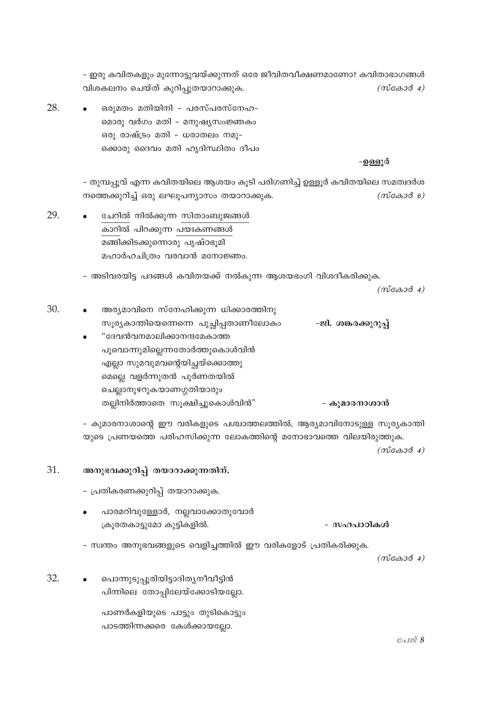- ഇരു കവിതകളും മുന്നോട്ടുവയ്ക്കുന്നത് ഒരേ ജീവിതവീക്ഷണമാണോ? കവിതാഭാഗങ്ങൾ വിശകലനം ചെയ്ത് കുറിപുതയാറാക്കുക.  $(m\tilde{\cos}a\tilde{\cos}a)$ 

28 ഒരുമതം മതിയിനി - പരസ്പരസ്നേഹ-മൊരു വർഗം മതി - മനുഷ്യസംജ്ഞകം ഒരു രാഷ്ട്രം മതി - ധരാതലം നമു-ക്കൊരു ദൈവം മതി ഹൃദിസ്ഥിതം ദീപം

### -ഉള്ളൂർ

- തുമ്പപ്പൂവ് എന്ന കവിതയിലെ ആശയം കൂടി പരിഗണിച്ച് ഉള്ളൂർ കവിതയിലെ സമത്വദർശ നത്തെക്കുറിച്ച് ഒരു ലഘൂപന്യാസം തയാറാക്കുക.  $(m \cos \theta)$ 

29. ചേറിൽ നിൽക്കുന്ന സിതാംബുജങ്ങൾ കാറിൽ പിറക്കുന്ന പയഃകണങ്ങൾ മങ്ങിക്കിടക്കുന്നൊരു പൃഷ്ഠഭൂമി മഹാർഹചിത്രം വരവാൻ മനോജ്ഞം.

- അടിവരയിട്ട പദങ്ങൾ കവിതയക്ക് നൽകുന്ന ആശയഭംഗി വിശദീകരിക്കുക.

 $(m \cos \theta 4)$ 

- 30. അര്യമാവിനെ സ്നേഹിക്കുന്ന ധിക്കാരത്തിനു സൂര്യകാന്തിയെന്നെനെ പുച്ഛിപ്പതാണീലോകം -ജി. ശങ്കരക്കുറുപ്പ് "ദേവൻവനമാലിക്കാനന്ദമേകാത്ത
	- പൂവൊന്നുമില്ലെന്നതോർത്തുകൊൾവിൻ എല്ലാ സുമവുമവന്റെയിച്ചയ്ക്കൊത്തു മെല്ലെ വളർന്നുതൻ പൂർണതയിൽ ചെല്ലാനുഴറുകയാണഗ്ഗതിയാരും തല്ലിനിർത്താതെ സൂക്ഷിച്ചുകൊൾവിൻ" - കുമാരനാശാൻ

- കുമാരനാശാന്റെ ഈ വരികളുടെ പശ്ചാത്തലത്തിൽ, ആര്യമാവിനോടുള്ള സുര്യകാന്തി യുടെ പ്രണയത്തെ പരിഹസിക്കുന്ന ലോകത്തിന്റെ മനോഭാവത്തെ വിലയിരുത്തുക.  $(m\breve{c} \& \partial \phi)$ 

#### 31. അനുഭവക്കുറിപ്പ് തയാറാക്കുന്നതിന്.

- പ്രതികരണക്കുറിപ്പ് തയാറാക്കുക.
- പാരമറിവുള്ളോർ, നല്ലവാക്കോതുവോർ ക്രൂരതകാട്ടുമോ കുട്ടികളിൽ. - സഹപാഠികൾ
- സ്വന്തം അനുഭവങ്ങളുടെ വെളിച്ചത്തിൽ ഈ വരികളോട് പ്രതികരിക്കുക.

 $(m\cos 3\theta 4)$ 

32. പൊന്നുടുപ്പൂരിയിട്ടാദിതൃനീവീട്ടിൻ പിന്നിലെ തോപ്പിലേയ്ക്കോടിയല്ലോ.

> പാണർകളിയുടെ പാട്ടും തുടികൊട്ടും പാടത്തിന്നക്കരെ കേൾക്കായല്ലോ.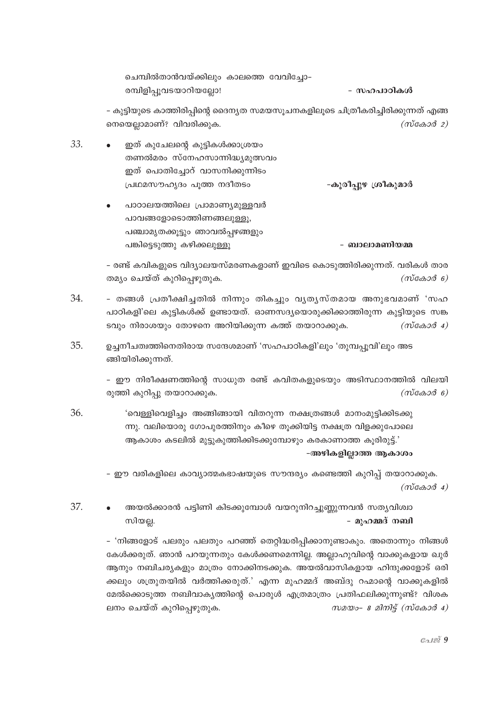| ചെമ്പിൽതാൻവയ്ക്കിലും കാലത്തെ വേവിച്ചോ– |            |
|----------------------------------------|------------|
| രമ്പിളിപ്പൂവടയാറിയല്ലോ!                | - സഹപാഠികൾ |

– കുട്ടിയുടെ കാത്തിരിപ്പിന്റെ ദൈന്യത സമയസൂചനകളിലൂടെ ചിത്രീകരിച്ചിരിക്കുന്നത് എങ്ങ നെയെല്ലാമാണ്? വിവരിക്കുക.  $(m \cos \theta 2)$ 

- 33. ഇത് കുചേലന്റെ കുട്ടികൾക്കാശ്രയം തണൽമരം സ്നേഹസാന്നിദ്ധ്യമുത്സവം ഇത് പൊതിച്ചോറ് വാസനിക്കുന്നിടം പ്രഥമസൗഹൃദം പൂത്ത നദീതടം -കൂരീപ്പുഴ ശ്രീകുമാർ
	- പാഠാലയത്തിലെ പ്രാമാണ്യമുള്ളവർ പാവങ്ങളോടൊത്തിണങ്ങലുള്ളു, പഞ്ചാമൃതക്കൂട്ടും ഞാവൽപ്പഴങ്ങളും പങ്കിട്ടെടുത്തു കഴിക്കലുള്ളൂ

- ബാലാമണിയമ്മ

- രണ്ട് കവികളുടെ വിദ്യാലയസ്മരണകളാണ് ഇവിടെ കൊടുത്തിരിക്കുന്നത്. വരികൾ താര തമ്യം ചെയ്ത് കുറിപ്പെഴുതുക.  $(m \cos \theta)$ 

- 34. - തങ്ങൾ പ്രതീക്ഷിച്ചതിൽ നിന്നും തികച്ചും വൃതൃസ്തമായ അനുഭവമാണ് 'സഹ പാഠികളി'ലെ കുട്ടികൾക്ക് ഉണ്ടായത്. ഓണസദ്യയൊരുക്കിക്കാത്തിരുന്ന കുട്ടിയുടെ സങ്ക ടവും നിരാശയും തോഴനെ അറിയിക്കുന്ന കത്ത് തയാറാക്കുക.  $(m \cos \theta 4)$
- 35. ഉച്ചനീചത്വത്തിനെതിരായ സന്ദേശമാണ് 'സഹപാഠികളി'ലും 'തുമ്പപ്പൂവി'ലും അട ങ്ങിയിരിക്കുന്നത്.

- ഈ നിരീക്ഷണത്തിന്റെ സാധുത രണ്ട് കവിതകളുടെയും അടിസ്ഥാനത്തിൽ വിലയി രുത്തി കുറിപ്പു തയാറാക്കുക.  $(m\cos 3\theta_6)$ 

'വെള്ളിവെളിച്ചം അങ്ങിങ്ങായി വിതറുന്ന നക്ഷത്രങ്ങൾ മാനംമുട്ടിക്കിടക്കു 36. ന്നു. വലിയൊരു ഗോപുരത്തിനും കീഴെ തൂക്കിയിട്ട നക്ഷത്ര വിളക്കുപോലെ ആകാശം കടലിൽ മുട്ടുകുത്തിക്കിടക്കുമ്പോഴും കരകാണാത്ത കൂരിരുട്ട്.'

-അഴികളില്ലാത്ത ആകാശം

- ഈ വരികളിലെ കാവ്യാത്മകഭാഷയുടെ സൗന്ദര്യം കണ്ടെത്തി കുറിപ്പ് തയാറാക്കുക.  $(m \cos \theta 4)$ 

37 അയൽക്കാരൻ പട്ടിണി കിടക്കുമ്പോൾ വയറുനിറച്ചുണ്ണുന്നവൻ സത്യവിശ്വാ - മുഹമ്മദ് നബി സിയല്ല.

> - 'നിങ്ങളോട് പലരും പലതും പറഞ്ഞ് തെറ്റിദ്ധരിപ്പിക്കാനുണ്ടാകും. അതൊന്നും നിങ്ങൾ കേൾക്കരുത്. ഞാൻ പറയുന്നതും കേൾക്കണമെന്നില്ല. അല്ലാഹുവിന്റെ വാക്കുകളായ ഖുർ ആനും നബിചര്യകളും മാത്രം നോക്കിനടക്കുക. അയൽവാസികളായ ഹിന്ദുക്കളോട് ഒരി ക്കലും ശത്രുതയിൽ വർത്തിക്കരുത്.' എന്ന മുഹമ്മദ് അബ്ദു റഹ്മാന്റെ വാക്കുകളിൽ മേൽക്കൊടുത്ത നബിവാകൃത്തിന്റെ പൊരുൾ എത്രമാത്രം പ്രതിഫലിക്കുന്നുണ്ട്? വിശക ലനം ചെയ്ത് കുറിപ്പെഴുതുക.  $m$ 200-8 2 $m$  $\widetilde{q}$  (n $\widetilde{q}$   $\widetilde{q}$ )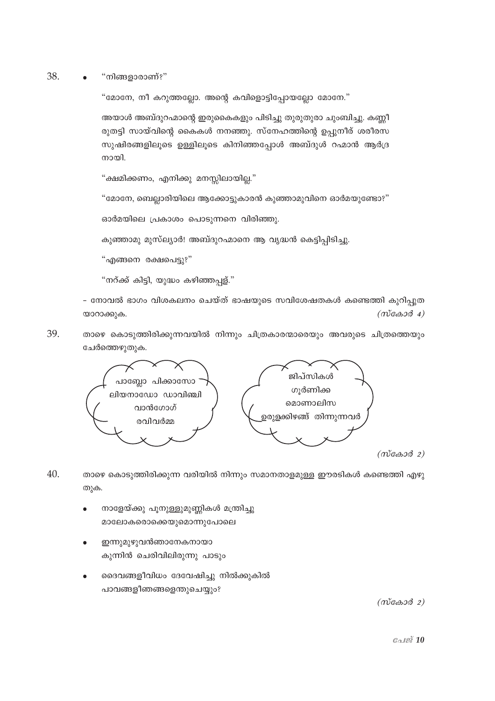38. "നിങ്ങളാരാണ്?"

"മോനേ, നീ കറുത്തല്ലോ. അന്റെ കവിളൊട്ടിപ്പോയല്ലോ മോനേ."

അയാൾ അബ്ദുറഹ്മാന്റെ ഇരുകൈകളും പിടിച്ചു തുരുതുരാ ചുംബിച്ചു. കണ്ണീ രുതട്ടി സായ്വിന്റെ കൈകൾ നനഞ്ഞു. സ്നേഹത്തിന്റെ ഉപ്പുനീര് ശരീരസ സുഷിരങ്ങളിലൂടെ ഉള്ളിലൂടെ കിനിഞ്ഞപ്പോൾ അബ്ദുൾ റഹ്മാൻ ആർദ്ര നായി.

"ക്ഷമിക്കണം, എനിക്കു മനസ്സിലായില്ല."

"മോനേ, ബെല്ലാരിയിലെ ആക്കോട്ടുകാരൻ കുഞ്ഞാമൂവിനെ ഓർമയുണ്ടോ?"

ഓർമയിലെ പ്രകാശം പൊടുന്നനെ വിരിഞ്ഞു.

കുഞ്ഞാമു മുസ്ല്യാർ! അബ്ദുറഹ്മാനെ ആ വൃദ്ധൻ കെട്ടിപ്പിടിച്ചു.

"എങ്ങനെ രക്ഷപെട്ടു?"

"നറ്ക്ക് കിട്ടി, യുദ്ധം കഴിഞ്ഞപ്പള്."

- നോവൽ ഭാഗം വിശകലനം ചെയ്ത് ഭാഷയുടെ സവിശേഷതകൾ കണ്ടെത്തി കുറിപ്പുത  $(m\tilde{c} \omega \omega \tilde{d}$  4) യാറാക്കുക.

39. താഴെ കൊടുത്തിരിക്കുന്നവയിൽ നിന്നും ചിത്രകാരന്മാരെയും അവരുടെ ചിത്രത്തെയും ചേർത്തെഴുതുക.



 $(m \cos \theta 2)$ 

- 40. താഴെ കൊടുത്തിരിക്കുന്ന വരിയിൽ നിന്നും സമാനതാളമുള്ള ഈരടികൾ കണ്ടെത്തി എഴു തുക.
	- നാളേയ്ക്കു പൂനുള്ളുമുണ്ണികൾ മന്ത്രിച്ചു മാലോകരൊക്കെയുമൊന്നുപോലെ
	- ഇന്നുമുഴുവൻഞാനേകനായാ കുന്നിൻ ചെരിവിലിരുന്നു പാടും
	- ദൈവങ്ങളീവിധം ദേവേഷിച്ചു നിൽക്കുകിൽ പാവങ്ങളീഞങ്ങളെന്തുചെയ്യും?

 $(m \cos \theta 2)$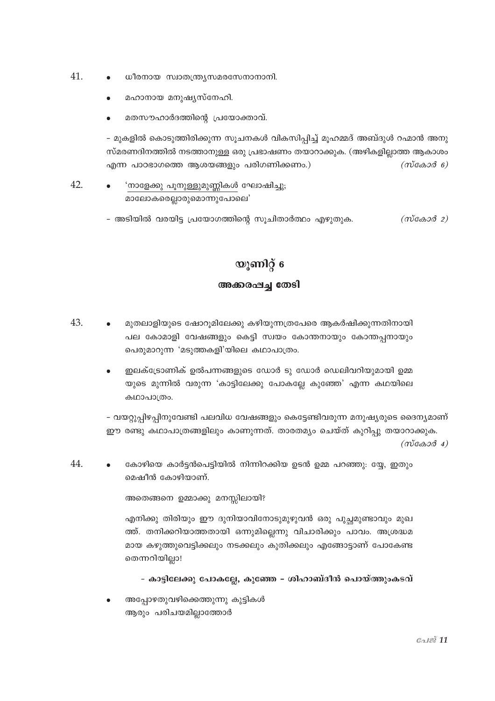- 41. ധീരനായ സ്വാതന്ത്ര്യസമരസേനാനാനി.
	- മഹാനായ മനുഷ്യസ്നേഹി.
	- മതസൗഹാർദത്തിന്റെ പ്രയോക്താവ്.

– മുകളിൽ കൊടുത്തിരിക്കുന്ന സൂചനകൾ വികസിപ്പിച്ച് മൂഹമ്മദ് അബ്ദുൾ റഹ്മാൻ അനു സ്മരണദിനത്തിൽ നടത്താനുള്ള ഒരു പ്രഭാഷണം തയാറാക്കുക. (അഴികളില്ലാത്ത ആകാശം എന്ന പാഠഭാഗത്തെ ആശയങ്ങളും പരിഗണിക്കണം.)  $(m \cos \theta)$ 

- 42. 'നാളേക്കു പൂനുള്ളുമുണ്ണികൾ ഘോഷിച്ചു; മാലോകരെല്ലാരുമൊന്നുപോലെ'
	- അടിയിൽ വരയിട്ട പ്രയോഗത്തിന്റെ സുചിതാർത്ഥം എഴുതുക.  $(m \cos \theta 2)$

# യൂണിറ്റ് 6

## അക്കരഷച്ച തേടി

- 43. മുതലാളിയുടെ ഷോറൂമിലേക്കു കഴിയുന്നത്രപേരെ ആകർഷിക്കുന്നതിനായി പല കോമാളി വേഷങ്ങളും കെട്ടി സ്വയം കോന്തനായും കോന്തപ്പനായും പെരുമാറുന്ന 'മടുത്തകളി'യിലെ കഥാപാത്രം.
	- ഇലക്ട്രോണിക് ഉൽപന്നങ്ങളുടെ ഡോർ ടു ഡോർ ഡെലിവറിയുമായി ഉമ്മ യുടെ മുന്നിൽ വരുന്ന 'കാട്ടിലേക്കു പോകല്ലേ കുഞ്ഞേ' എന്ന കഥയിലെ കഥാപാത്രം.

– വയറ്റുപ്പിഴപ്പിനുവേണ്ടി പലവിധ വേഷങ്ങളും കെട്ടേണ്ടിവരുന്ന മനുഷ്യരുടെ ദൈന്യമാണ് ഈ രണ്ടു കഥാപാത്രങ്ങളിലും കാണുന്നത്. താരതമ്യം ചെയ്ത് കുറിപ്പു തയാറാക്കുക.

 $(m\cos 3\theta 4)$ 

44. കോഴിയെ കാർട്ടൻപെട്ടിയിൽ നിന്നിറക്കിയ ഉടൻ ഉമ്മ പറഞ്ഞു: യേ, ഇതും മെഷീൻ കോഴിയാണ്.

അതെങ്ങനെ ഉമ്മാക്കു മനസ്സിലായി?

എനിക്കു തിരിയും ഈ ദുനിയാവിനോടുമുഴുവൻ ഒരു പുച്ചമുണ്ടാവും മുഖ ത്ത്. തനിക്കറിയാത്തതായി ഒന്നുമില്ലെന്നു വിചാരിക്കും പാവം. അശ്രദ്ധമ മായ കഴുത്തുവെട്ടിക്കലും നടക്കലും കുതിക്കലും എങ്ങോട്ടാണ് പോകേണ്ട തെന്നറിയില്ലാ!

- കാട്ടിലേക്കു പോകല്ലേ, കുഞ്ഞേ - ശിഹാബ്ദീൻ പൊയ്ത്തുംകടവ്

അപ്പോഴതുവഴിക്കെത്തുന്നു കുട്ടികൾ ആരും പരിചയമില്ലാത്തോർ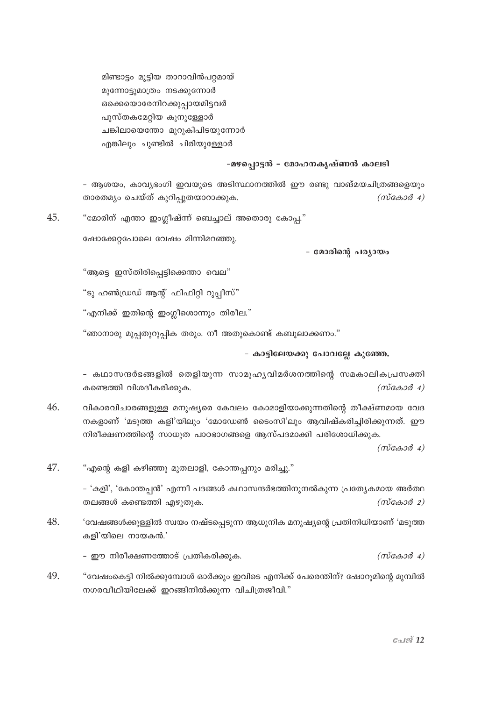മിണ്ടാട്ടം മുട്ടിയ താറാവിൻപറ്റമായ് മുന്നോട്ടുമാത്രം നടക്കുന്നോർ ഒക്കെയൊരേനിറക്കുപ്പായമിട്ടവർ പുസ്തകമേറ്റിയ കൂനുള്ളോർ ചങ്കിലായെന്തോ മുറുകിപിടയുന്നോർ എങ്കിലും ചുണ്ടിൽ ചിരിയുള്ളോർ

### -മഴപ്പൊട്ടൻ - മോഹനകൃഷ്ണൻ കാലടി

- ആശയം, കാവ്യഭംഗി ഇവയുടെ അടിസ്ഥാനത്തിൽ ഈ രണ്ടു വാങ്മയചിത്രങ്ങളെയും താരതമ്യം ചെയ്ത് കുറിപ്പുതയാറാക്കുക.  $(m\tilde{\cos}\omega\tilde{\cos}4)$ 

45 "മോരിന് എന്താ ഇംഗ്ലീഷ്ന്ന ബെച്ചാല് അതൊരു കോപ്പ."

ഷോക്കേറ്റപോലെ വേഷം മിന്നിമറഞ്ഞു.

- മോരിന്റെ പര്യായം

"ആട്ടെ ഇസ്തിരിപ്പെട്ടിക്കെന്താ വെല"

"ടു ഹൺഡ്രഡ് ആന്റ് ഫിഫിറ്റി റുപ്പീസ്"

"എനിക്ക് ഇതിന്റെ ഇംഗ്ലീശൊന്നും തിരീല."

"ഞാനാരു മുപ്പതുറുപ്പിക തരും. നീ അതുകൊണ്ട് കബൂലാക്കണം."

- കാട്ടിലേയക്കു പോവല്ലേ കുഞ്ഞേ.

- കഥാസന്ദർഭങ്ങളിൽ തെളിയുന്ന സാമൂഹ്യവിമർശനത്തിന്റെ സമകാലികപ്രസക്തി കണ്ടെത്തി വിശദീകരിക്കുക.  $(m \cos \theta 4)$ 

46. വികാരവിചാരങ്ങളുള്ള മനുഷ്യരെ കേവലം കോമാളിയാക്കുന്നതിന്റെ തീക്ഷ്ണമായ വേദ നകളാണ് 'മടുത്ത കളി'യിലും 'മോഡേൺ ടൈംസി'ലും ആവിഷ്കരിച്ചിരിക്കുന്നത്. ഈ നിരീക്ഷണത്തിന്റെ സാധുത പാഠഭാഗങ്ങളെ ആസ്പദമാക്കി പരിശോധിക്കുക.

 $(m \cos \theta 4)$ 

47. "എന്റെ കളി കഴിഞ്ഞു മുതലാളി, കോന്തപ്പനും മരിച്ചു."

> - 'കളി', 'കോന്തപ്പൻ' എന്നീ പദങ്ങൾ കഥാസന്ദർഭത്തിനുനൽകുന്ന പ്രത്യേകമായ അർത്ഥ തലങ്ങൾ കണ്ടെത്തി എഴുതുക.  $(m\cos 3\theta_2)$

48. 'വേഷങ്ങൾക്കുള്ളിൽ സ്വയം നഷ്ടപ്പെടുന്ന ആധുനിക മനുഷ്യന്റെ പ്രതിനിധിയാണ് 'മടുത്ത കളി'യിലെ നായകൻ.'

- ഈ നിരീക്ഷണത്തോട് പ്രതികരിക്കുക.  $(m \cos \theta 4)$ 

49. "വേഷംകെട്ടി നിൽക്കുമ്പോൾ ഓർക്കും ഇവിടെ എനിക്ക് പേരെന്തിന്? ഷോറൂമിന്റെ മുമ്പിൽ നഗരവീഥിയിലേക്ക് ഇറങ്ങിനിൽക്കുന്ന വിചിത്രജീവി."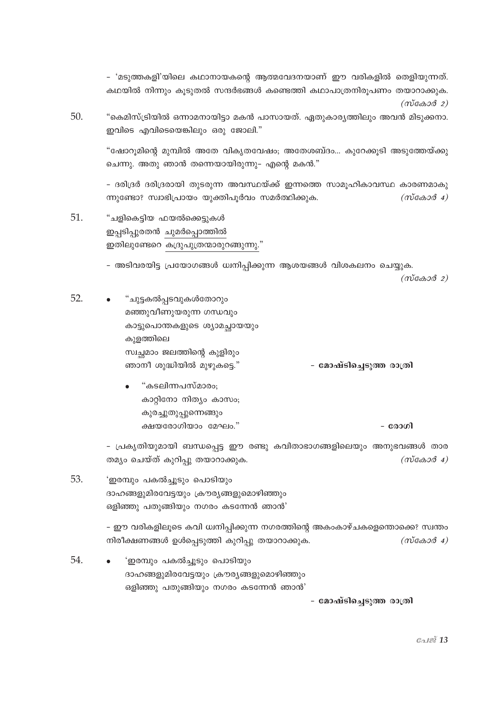- 'മടുത്തകളി'യിലെ കഥാനായകന്റെ ആത്മവേദനയാണ് ഈ വരികളിൽ തെളിയുന്നത്. കഥയിൽ നിന്നും കുടുതൽ സന്ദർഭങ്ങൾ കണ്ടെത്തി കഥാപാത്രനിരുപണം തയാറാക്കുക.  $(m\cos 2\theta)$ 

50. "കെമിസ്ട്രിയിൽ ഒന്നാമനായിട്ടാ മകൻ പാസായത്. ഏതുകാര്യത്തിലും അവൻ മിടുക്കനാ. ഇവിടെ എവിടെയെങ്കിലും ഒരു ജോലി."

"ഷോറുമിന്റെ മുമ്പിൽ അതേ വികൃതവേഷം; അതേശബ്ദം… കൂറേക്കുടി അടുത്തേയ്ക്കു ചെന്നു. അതു ഞാൻ തന്നെയായിരുന്നു– എന്റെ മകൻ."

- ദരിദ്രർ ദരിദ്രരായി തുടരുന്ന അവസ്ഥയ്ക്ക് ഇന്നത്തെ സാമൂഹികാവസ്ഥ കാരണമാകു ന്നുണ്ടോ? സ്വാഭിപ്രായം യുക്തിപൂർവം സമർത്ഥിക്കുക.  $(m\cos 3\theta_4)$ 

51. "ചളികെട്ടിയ ഫയൽക്കെട്ടുകൾ ഇപ്പടിപ്പുരതൻ ചുമർപ്പൊത്തിൽ ഇതിലുണ്ടേറെ കദ്രുപുത്രന്മാരുറങ്ങുന്നു."

- അടിവരയിട്ട പ്രയോഗങ്ങൾ ധ്വനിപ്പിക്കുന്ന ആശയങ്ങൾ വിശകലനം ചെയ്യുക.

 $(m\tilde{\cos}a\tilde{\cos}a)$ 

52. "ചുട്ടകൽപ്പടവുകൾതോറും മഞ്ഞുവീണുയരുന്ന ഗന്ധവും കാട്ടുപൊന്തകളുടെ ശ്യാമച്ചായയും കുളത്തിലെ സ്വച്ചമാം ജലത്തിന്റെ കുളിരും ഞാനീ ശുദ്ധിയിൽ മുഴുകട്ടെ." - മോഷ്ടിച്ചെടുത്ത രാത്രി "കടലിന്നപസ്മാരം; കാറ്റിനോ നിത്യം കാസം;

കുരച്ചുതുപ്പുന്നെങ്ങും ക്ഷയരോഗിയാം മേഘം." - രോഗി

- പ്രകൃതിയുമായി ബന്ധപ്പെട്ട ഈ രണ്ടു കവിതാഭാഗങ്ങളിലെയും അനുഭവങ്ങൾ താര തമ്യം ചെയ്ത് കുറിപ്പു തയാറാക്കുക.  $(m\cos 3\theta 4)$ 

53. 'ഇരമ്പും പകൽച്ചുടും പൊടിയും ദാഹങ്ങളുമിരവേട്ടയും ക്രൗര്യങ്ങളുമൊഴിഞ്ഞും ഒളിഞ്ഞു പതുങ്ങിയും നഗരം കടന്നേൻ ഞാൻ'

> - ഈ വരികളിലൂടെ കവി ധ്വനിപ്പിക്കുന്ന നഗരത്തിന്റെ അകംകാഴ്ചകളെന്തൊക്കെ? സ്വന്തം നിരീക്ഷണങ്ങൾ ഉൾപ്പെടുത്തി കുറിപ്പു തയാറാക്കുക.  $(m\cos 3\theta 4)$

54. 'ഇരമ്പും പകൽച്ചൂടും പൊടിയും ദാഹങ്ങളുമിരവേട്ടയും ക്രൗര്യങ്ങളുമൊഴിഞ്ഞും ഒളിഞ്ഞു പതുങ്ങിയും നഗരം കടന്നേൻ ഞാൻ'

- മോഷ്ടിച്ചെടുത്ത രാത്രി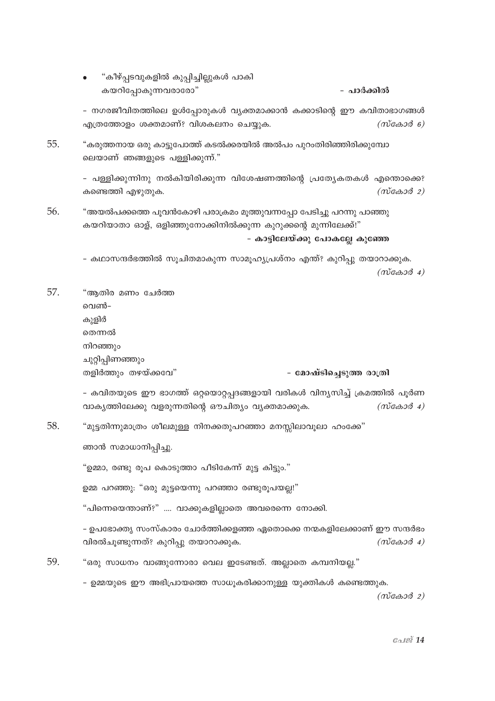"കീഴ്പ്പടവുകളിൽ കുപ്പിച്ചില്ലുകൾ പാകി കയറിപ്പോകുന്നവരാരോ" - പാർക്കിൽ

- നഗരജീവിതത്തിലെ ഉൾപ്പോരുകൾ വ്യക്തമാക്കാൻ കക്കാടിന്റെ ഈ കവിതാഭാഗങ്ങൾ എത്രത്തോളം ശക്തമാണ്? വിശകലനം ചെയ്യക.  $(m$ caso $\delta$  6)

55. "കരുത്തനായ ഒരു കാട്ടുപോത്ത് കടൽക്കരയിൽ അൽപം പുറംതിരിഞ്ഞിരിക്കുമ്പോ ലെയാണ് ഞങ്ങളുടെ പള്ളിക്കുന്ന്."

> - പള്ളിക്കുന്നിനു നൽകിയിരിക്കുന്ന വിശേഷണത്തിന്റെ പ്രത്യേകതകൾ എന്തൊക്കെ? കണ്ടെത്തി എഴുതുക.  $(m\tilde{\cos}a\tilde{\cos}a)$

56. "അയൽപക്കത്തെ പുവൻകോഴി പരാക്രമം മൂത്തുവന്നപ്പോ പേടിച്ചു പറന്നു പാഞ്ഞു കയറിയാതാ ഓള്, ഒളിഞ്ഞുനോക്കിനിൽക്കുന്ന കുറുക്കന്റെ മുന്നിലേക്ക്!"

## - കാട്ടിലേയ്ക്കു പോകല്ലേ കുഞ്ഞേ

– കഥാസന്ദർഭത്തിൽ സൂചിതമാകുന്ന സാമൂഹ്യപ്രശ്നം എന്ത്? കുറിപ്പു തയാറാക്കുക.  $(m\tilde{\cos}a\tilde{\cos}a)$ 

"ആതിര മണം ചേർത്ത വെൺ-കുളിർ തെന്നൽ നിറഞ്ഞും ചുറ്റിപ്പിണഞ്ഞും തളിർത്തും തഴയ്ക്കവേ" - മോഷ്ടിച്ചെടുത്ത രാത്രി

- കവിതയുടെ ഈ ഭാഗത്ത് ഒറ്റയൊറ്റപ്പദങ്ങളായി വരികൾ വിന്യസിച്ച് ക്രമത്തിൽ പൂർണ വാകൃത്തിലേക്കു വളരുന്നതിന്റെ ഔചിത്യം വൃക്തമാക്കുക.  $(m\epsilon\omega\omega\omega\omega)$ 

58. "മുട്ടതിന്നുമാത്രം ശീലമുള്ള നിനക്കതുപറഞ്ഞാ മനസ്സിലാവുലാ ഹംക്കേ"

ഞാൻ സമാധാനിപ്പിച്ചു.

57.

"ഉമ്മാ, രണ്ടു രൂപ കൊടുത്താ പീടികേന്ന് മുട്ട കിട്ടും."

ഉമ്മ പറഞ്ഞു: "ഒരു മുട്ടയെന്നു പറഞ്ഞാ രണ്ടുരൂപയല്ല!"

"പിന്നെയെന്താണ്?" .... വാക്കുകളില്ലാതെ അവരെന്നെ നോക്കി.

- ഉപഭോക്ത്യ സംസ്കാരം ചോർത്തിക്കളഞ്ഞ ഏതൊക്കെ നന്മകളിലേക്കാണ് ഈ സന്ദർഭം  $(m \cos \theta 4)$ വിരൽചൂണ്ടുന്നത്? കുറിപ്പു തയാറാക്കുക.

59 "ഒരു സാധനം വാങ്ങുന്നോരാ വെല ഇടേണ്ടത്. അല്ലാതെ കമ്പനിയല്ല."

> - ഉമ്മയുടെ ഈ അഭിപ്രായത്തെ സാധൂകരിക്കാനുള്ള യുക്തികൾ കണ്ടെത്തുക.  $(m \cos \theta 2)$